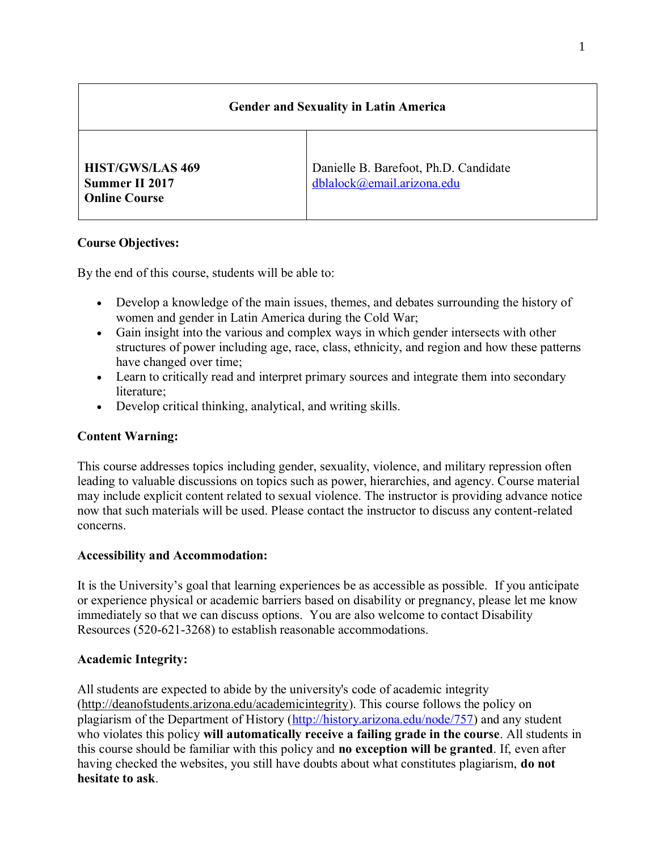# Gender and Sexuality in Latin America

| <b>HIST/GWS/LAS 469</b><br>Summer II 2017<br><b>Online Course</b> | Danielle B. Barefoot, Ph.D. Candidate<br>dblabck@email.arizona.edu |
|-------------------------------------------------------------------|--------------------------------------------------------------------|

# Course Objectives:

By the end of this course, students will be able to:

- Develop a knowledge of the main issues, themes, and debates surrounding the history of women and gender in Latin America during the Cold War;
- Gain insight into the various and complex ways in which gender intersects with other structures of power including age, race, class, ethnicity, and region and how these patterns have changed over time;
- Learn to critically read and interpret primary sources and integrate them into secondary literature;
- Develop critical thinking, analytical, and writing skills.

# Content Warning:

This course addresses topics including gender, sexuality, violence, and military repression often leading to valuable discussions on topics such as power, hierarchies, and agency. Course material may include explicit content related to sexual violence. The instructor is providing advance notice now that such materials will be used. Please contact the instructor to discuss any content-related concerns.

## Accessibility and Accommodation:

It is the University's goal that learning experiences be as accessible as possible. If you anticipate or experience physical or academic barriers based on disability or pregnancy, please let me know immediately so that we can discuss options. You are also welcome to contact Disability Resources (520-621-3268) to establish reasonable accommodations.

# Academic Integrity:

All students are expected to abide by the university's code of academic integrity (http://deanofstudents.arizona.edu/academicintegrity). This course follows the policy on plagiarism of the Department of History [\(http://history.arizona.edu/node/757\)](http://history.arizona.edu/node/757) and any student who violates this policy will automatically receive a failing grade in the course. All students in this course should be familiar with this policy and no exception will be granted. If, even after having checked the websites, you still have doubts about what constitutes plagiarism, do not hesitate to ask.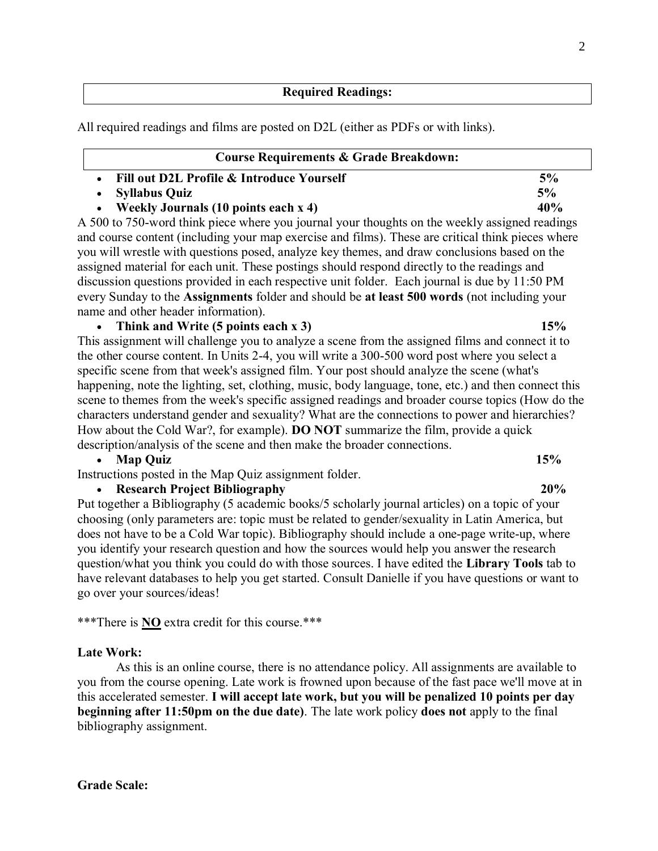### Required Readings:

All required readings and films are posted on D2L (either as PDFs or with links).

| <b>Course Requirements &amp; Grade Breakdown:</b> |     |
|---------------------------------------------------|-----|
| Fill out D2L Profile & Introduce Yourself         | 5%  |
| <b>Syllabus Quiz</b>                              | 5%  |
| <b>Weekly Journals (10 points each x 4)</b>       | 40% |

A 500 to 750-word think piece where you journal your thoughts on the weekly assigned readings and course content (including your map exercise and films). These are critical think pieces where you will wrestle with questions posed, analyze key themes, and draw conclusions based on the assigned material for each unit. These postings should respond directly to the readings and discussion questions provided in each respective unit folder. Each journal is due by 11:50 PM every Sunday to the Assignments folder and should be at least 500 words (not including your name and other header information).

### • Think and Write (5 points each x 3) 15%

This assignment will challenge you to analyze a scene from the assigned films and connect it to the other course content. In Units 2-4, you will write a 300-500 word post where you select a specific scene from that week's assigned film. Your post should analyze the scene (what's happening, note the lighting, set, clothing, music, body language, tone, etc.) and then connect this scene to themes from the week's specific assigned readings and broader course topics (How do the characters understand gender and sexuality? What are the connections to power and hierarchies? How about the Cold War?, for example). DO NOT summarize the film, provide a quick description/analysis of the scene and then make the broader connections.

### • Map Quiz 15%

Instructions posted in the Map Quiz assignment folder.

### • Research Project Bibliography 20%

Put together a Bibliography (5 academic books/5 scholarly journal articles) on a topic of your choosing (only parameters are: topic must be related to gender/sexuality in Latin America, but does not have to be a Cold War topic). Bibliography should include a one-page write-up, where you identify your research question and how the sources would help you answer the research question/what you think you could do with those sources. I have edited the Library Tools tab to have relevant databases to help you get started. Consult Danielle if you have questions or want to go over your sources/ideas!

\*\*\*There is NO extra credit for this course.\*\*\*

#### Late Work:

As this is an online course, there is no attendance policy. All assignments are available to you from the course opening. Late work is frowned upon because of the fast pace we'll move at in this accelerated semester. I will accept late work, but you will be penalized 10 points per day beginning after 11:50pm on the due date). The late work policy does not apply to the final bibliography assignment.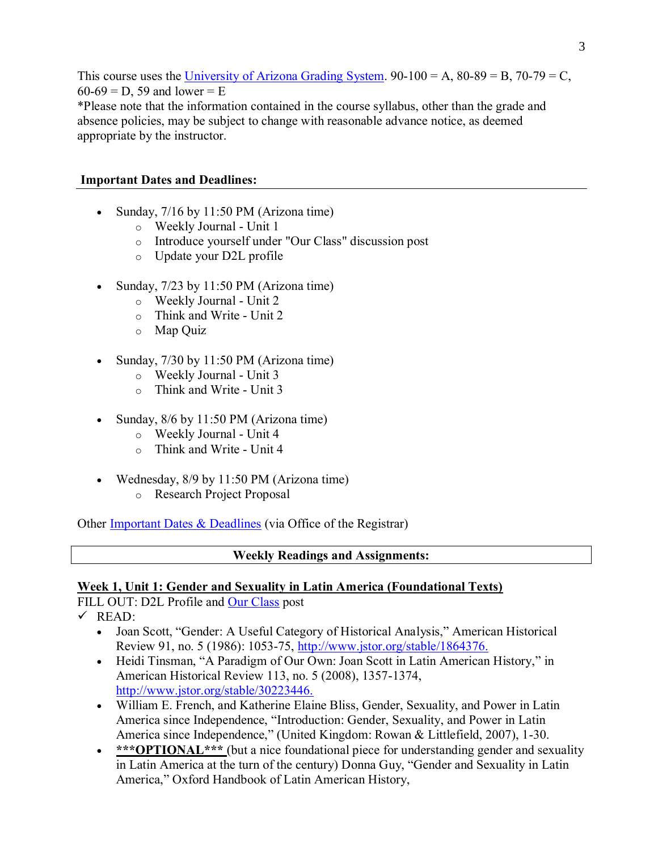This course uses the [University of Arizona Grading System.](http://archive.catalog.arizona.edu/2015-16/policies/grade.htm)  $90-100 = A$ ,  $80-89 = B$ ,  $70-79 = C$ ,  $60-69 = D$ , 59 and lower = E \*Please note that the information contained in the course syllabus, other than the grade and absence policies, may be subject to change with reasonable advance notice, as deemed appropriate by the instructor.

# Important Dates and Deadlines:

- Sunday, 7/16 by 11:50 PM (Arizona time)
	- o Weekly Journal Unit 1
	- o Introduce yourself under "Our Class" discussion post
	- o Update your D2L profile
- Sunday, 7/23 by 11:50 PM (Arizona time)
	- o Weekly Journal Unit 2
	- o Think and Write Unit 2
	- o Map Quiz
- Sunday, 7/30 by 11:50 PM (Arizona time)
	- o Weekly Journal Unit 3
	- o Think and Write Unit 3
- Sunday, 8/6 by 11:50 PM (Arizona time)
	- o Weekly Journal Unit 4
	- o Think and Write Unit 4
- Wednesday, 8/9 by 11:50 PM (Arizona time)
	- o Research Project Proposal

Other [Important Dates & Deadlines](http://registrar.arizona.edu/dates-and-deadlines/view-dates?field_display_term_value=5W217) (via Office of the Registrar)

## Weekly Readings and Assignments:

## Week 1, Unit 1: Gender and Sexuality in Latin America (Foundational Texts)

FILL OUT: D2L Profile and [Our Class](file://///d2l/common/dialogs/quickLink/quickLink.d2l%253fou=578677&type=discuss&rcode=Arizona-3163999) post

 $\checkmark$  READ:

- Joan Scott, "Gender: A Useful Category of Historical Analysis," American Historical Review 91, no. 5 (1986): 1053-75,<http://www.jstor.org/stable/1864376.>
- Heidi Tinsman, "A Paradigm of Our Own: Joan Scott in Latin American History," in American Historical Review 113, no. 5 (2008), 1357-1374, <http://www.jstor.org/stable/30223446.>
- William E. French, and Katherine Elaine Bliss, Gender, Sexuality, and Power in Latin America since Independence, "Introduction: Gender, Sexuality, and Power in Latin America since Independence," (United Kingdom: Rowan & Littlefield, 2007), 1-30.
- \*\*\* OPTIONAL\*\*\* (but a nice foundational piece for understanding gender and sexuality in Latin America at the turn of the century) Donna Guy, "Gender and Sexuality in Latin America," Oxford Handbook of Latin American History,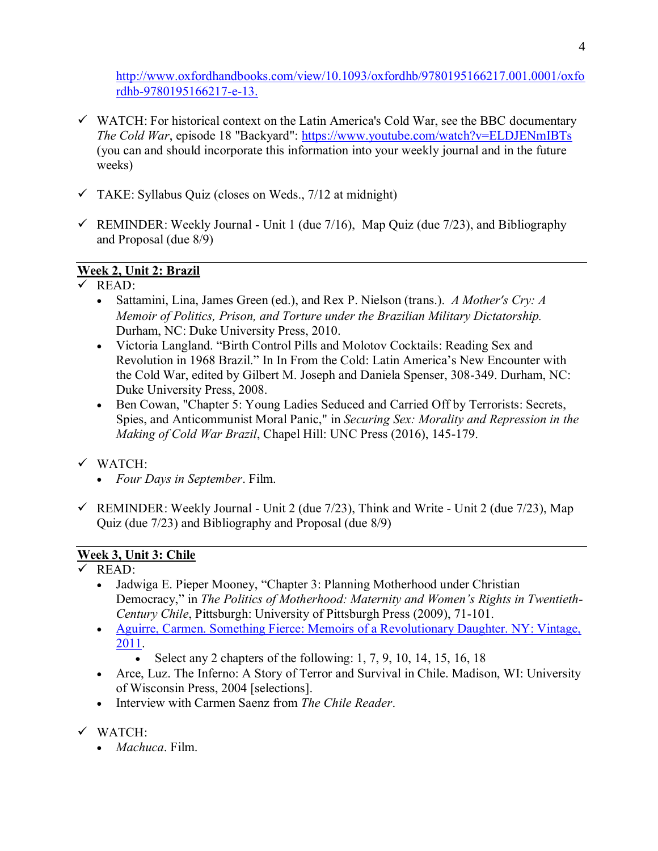[http://www.oxfordhandbooks.com/view/10.1093/oxfordhb/9780195166217.001.0001/oxfo](http://www.oxfordhandbooks.com/view/10.1093/oxfordhb/9780195166217.001.0001/oxfordhb-9780195166217-e-13.) [rdhb-9780195166217-e-13.](http://www.oxfordhandbooks.com/view/10.1093/oxfordhb/9780195166217.001.0001/oxfordhb-9780195166217-e-13.)

- $\checkmark$  WATCH: For historical context on the Latin America's Cold War, see the BBC documentary *The Cold War*, episode 18 "Backyard":<https://www.youtube.com/watch?v=ELDJENmIBTs> (you can and should incorporate this information into your weekly journal and in the future weeks)
- $\checkmark$  TAKE: Syllabus Quiz (closes on Weds., 7/12 at midnight)
- $\checkmark$  REMINDER: Weekly Journal Unit 1 (due 7/16), Map Quiz (due 7/23), and Bibliography and Proposal (due 8/9)

# Week 2, Unit 2: Brazil

- $\checkmark$  READ:
	- Sattamini, Lina, James Green (ed.), and Rex P. Nielson (trans.). *A Mother′s Cry: A Memoir of Politics, Prison, and Torture under the Brazilian Military Dictatorship.* Durham, NC: Duke University Press, 2010.
	- Victoria Langland. "Birth Control Pills and Molotov Cocktails: Reading Sex and Revolution in 1968 Brazil." In In From the Cold: Latin America's New Encounter with the Cold War, edited by Gilbert M. Joseph and Daniela Spenser, 308-349. Durham, NC: Duke University Press, 2008.
	- Ben Cowan, "Chapter 5: Young Ladies Seduced and Carried Off by Terrorists: Secrets, Spies, and Anticommunist Moral Panic," in *Securing Sex: Morality and Repression in the Making of Cold War Brazil*, Chapel Hill: UNC Press (2016), 145-179.
- ✓ WATCH:
	- *Four Days in September*. Film.
- $\checkmark$  REMINDER: Weekly Journal Unit 2 (due 7/23), Think and Write Unit 2 (due 7/23), Map Quiz (due 7/23) and Bibliography and Proposal (due 8/9)

# Week 3, Unit 3: Chile

- ✓ READ:
	- Jadwiga E. Pieper Mooney, "Chapter 3: Planning Motherhood under Christian Democracy," in *The Politics of Motherhood: Maternity and Women's Rights in Twentieth-Century Chile*, Pittsburgh: University of Pittsburgh Press (2009), 71-101.
	- Aguirre, Carmen. Something Fierce: Memoirs of a Revolutionary Daughter. NY: Vintage, [2011.](http://ebookcentral.proquest.com.ezproxy2.library.arizona.edu/lib/UAZ/detail.action?docID=708973)
		- Select any 2 chapters of the following: 1, 7, 9, 10, 14, 15, 16, 18
	- Arce, Luz. The Inferno: A Story of Terror and Survival in Chile. Madison, WI: University of Wisconsin Press, 2004 [selections].
	- Interview with Carmen Saenz from *The Chile Reader*.
- ✓ WATCH:
	- *Machuca*. Film.